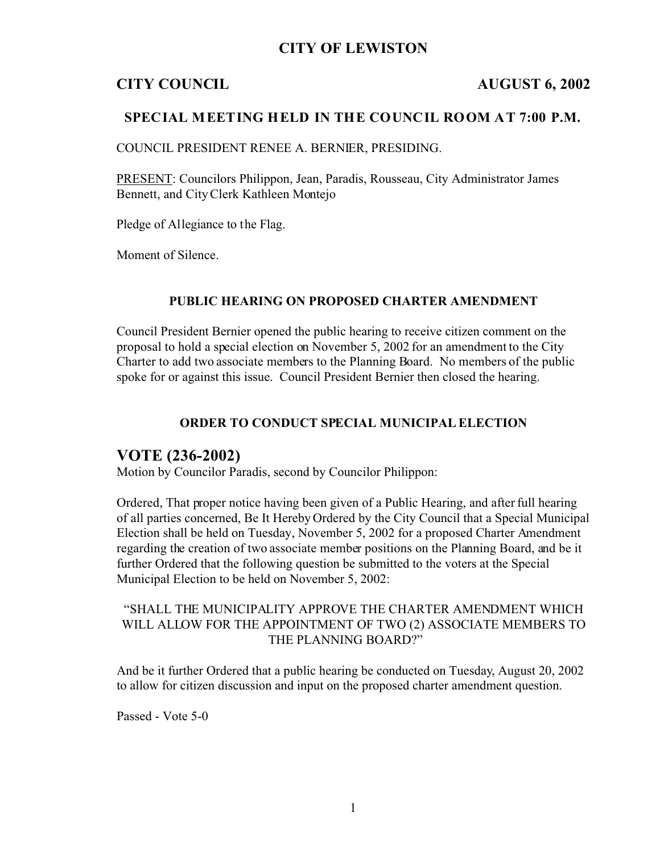# **CITY OF LEWISTON**

# **CITY COUNCIL AUGUST 6, 2002**

### **SPECIAL MEETING HELD IN THE COUNCIL ROOM AT 7:00 P.M.**

COUNCIL PRESIDENT RENEE A. BERNIER, PRESIDING.

PRESENT: Councilors Philippon, Jean, Paradis, Rousseau, City Administrator James Bennett, and City Clerk Kathleen Montejo

Pledge of Allegiance to the Flag.

Moment of Silence.

#### **PUBLIC HEARING ON PROPOSED CHARTER AMENDMENT**

Council President Bernier opened the public hearing to receive citizen comment on the proposal to hold a special election on November 5, 2002 for an amendment to the City Charter to add two associate members to the Planning Board. No members of the public spoke for or against this issue. Council President Bernier then closed the hearing.

#### **ORDER TO CONDUCT SPECIAL MUNICIPAL ELECTION**

# **VOTE (236-2002)**

Motion by Councilor Paradis, second by Councilor Philippon:

Ordered, That proper notice having been given of a Public Hearing, and after full hearing of all parties concerned, Be It Hereby Ordered by the City Council that a Special Municipal Election shall be held on Tuesday, November 5, 2002 for a proposed Charter Amendment regarding the creation of two associate member positions on the Planning Board, and be it further Ordered that the following question be submitted to the voters at the Special Municipal Election to be held on November 5, 2002:

#### "SHALL THE MUNICIPALITY APPROVE THE CHARTER AMENDMENT WHICH WILL ALLOW FOR THE APPOINTMENT OF TWO (2) ASSOCIATE MEMBERS TO THE PLANNING BOARD?"

And be it further Ordered that a public hearing be conducted on Tuesday, August 20, 2002 to allow for citizen discussion and input on the proposed charter amendment question.

Passed - Vote 5-0